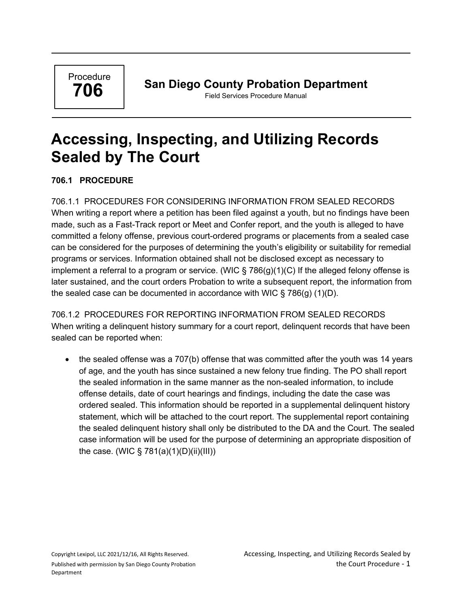Procedure **706**

## **San Diego County Probation Department**

Field Services Procedure Manual

# **Accessing, Inspecting, and Utilizing Records Sealed by The Court**

#### **706.1 PROCEDURE**

706.1.1 PROCEDURES FOR CONSIDERING INFORMATION FROM SEALED RECORDS When writing a report where a petition has been filed against a youth, but no findings have been made, such as a Fast-Track report or Meet and Confer report, and the youth is alleged to have committed a felony offense, previous court-ordered programs or placements from a sealed case can be considered for the purposes of determining the youth's eligibility or suitability for remedial programs or services. Information obtained shall not be disclosed except as necessary to implement a referral to a program or service. (WIC  $\S$  786(g)(1)(C) If the alleged felony offense is later sustained, and the court orders Probation to write a subsequent report, the information from the sealed case can be documented in accordance with WIC  $\S$  786(g) (1)(D).

706.1.2 PROCEDURES FOR REPORTING INFORMATION FROM SEALED RECORDS When writing a delinquent history summary for a court report, delinquent records that have been sealed can be reported when:

• the sealed offense was a 707(b) offense that was committed after the youth was 14 years of age, and the youth has since sustained a new felony true finding. The PO shall report the sealed information in the same manner as the non-sealed information, to include offense details, date of court hearings and findings, including the date the case was ordered sealed. This information should be reported in a supplemental delinquent history statement, which will be attached to the court report. The supplemental report containing the sealed delinquent history shall only be distributed to the DA and the Court. The sealed case information will be used for the purpose of determining an appropriate disposition of the case. (WIC § 781(a)(1)(D)(ii)(III))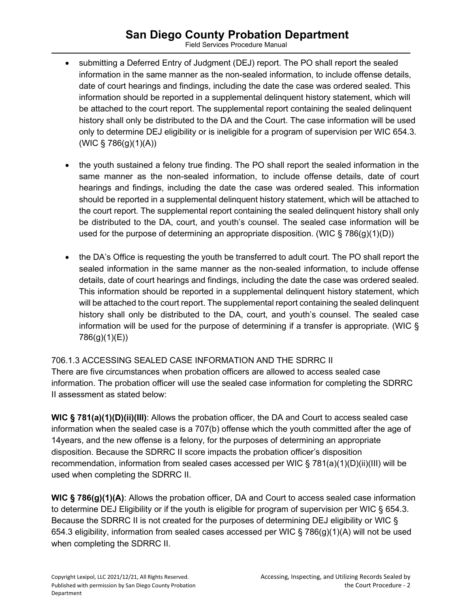## **San Diego County Probation Department**

Field Services Procedure Manual

- submitting a Deferred Entry of Judgment (DEJ) report. The PO shall report the sealed information in the same manner as the non-sealed information, to include offense details, date of court hearings and findings, including the date the case was ordered sealed. This information should be reported in a supplemental delinquent history statement, which will be attached to the court report. The supplemental report containing the sealed delinquent history shall only be distributed to the DA and the Court. The case information will be used only to determine DEJ eligibility or is ineligible for a program of supervision per WIC 654.3.  $(WIC \S 786(g)(1)(A))$
- the youth sustained a felony true finding. The PO shall report the sealed information in the same manner as the non-sealed information, to include offense details, date of court hearings and findings, including the date the case was ordered sealed. This information should be reported in a supplemental delinquent history statement, which will be attached to the court report. The supplemental report containing the sealed delinquent history shall only be distributed to the DA, court, and youth's counsel. The sealed case information will be used for the purpose of determining an appropriate disposition. (WIC  $\S 786(q)(1)(D)$ )
- the DA's Office is requesting the youth be transferred to adult court. The PO shall report the sealed information in the same manner as the non-sealed information, to include offense details, date of court hearings and findings, including the date the case was ordered sealed. This information should be reported in a supplemental delinquent history statement, which will be attached to the court report. The supplemental report containing the sealed delinquent history shall only be distributed to the DA, court, and youth's counsel. The sealed case information will be used for the purpose of determining if a transfer is appropriate. (WIC § 786(g)(1)(E))

#### 706.1.3 ACCESSING SEALED CASE INFORMATION AND THE SDRRC II

There are five circumstances when probation officers are allowed to access sealed case information. The probation officer will use the sealed case information for completing the SDRRC II assessment as stated below:

**WIC § 781(a)(1)(D)(ii)(III)**: Allows the probation officer, the DA and Court to access sealed case information when the sealed case is a 707(b) offense which the youth committed after the age of 14years, and the new offense is a felony, for the purposes of determining an appropriate disposition. Because the SDRRC II score impacts the probation officer's disposition recommendation, information from sealed cases accessed per WIC § 781(a)(1)(D)(ii)(III) will be used when completing the SDRRC II.

**WIC § 786(g)(1)(A)**: Allows the probation officer, DA and Court to access sealed case information to determine DEJ Eligibility or if the youth is eligible for program of supervision per WIC § 654.3. Because the SDRRC II is not created for the purposes of determining DEJ eligibility or WIC § 654.3 eligibility, information from sealed cases accessed per WIC § 786(g)(1)(A) will not be used when completing the SDRRC II.